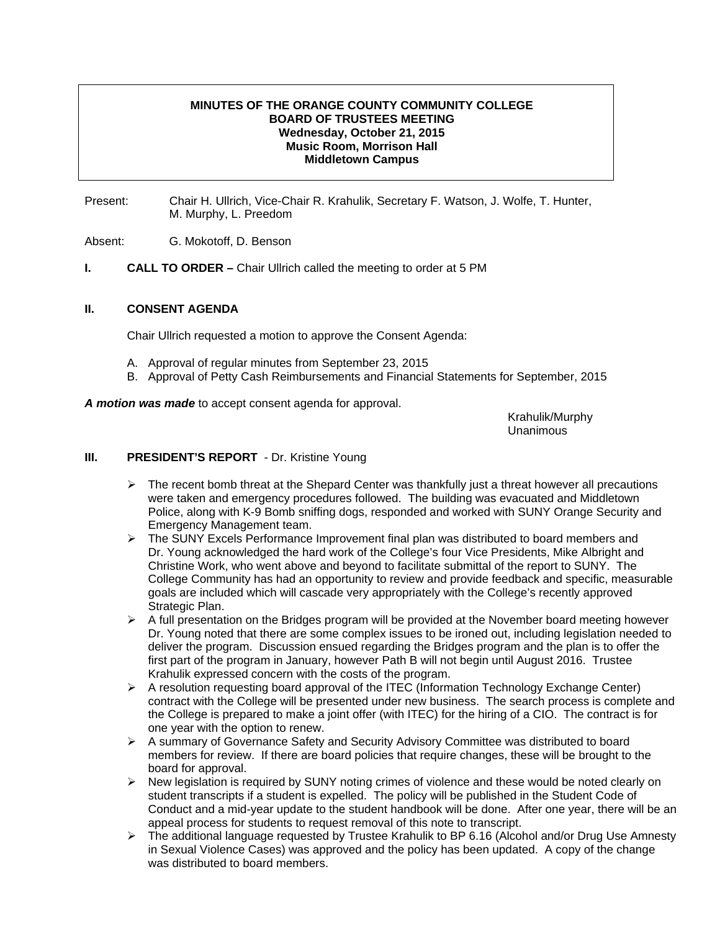## **MINUTES OF THE ORANGE COUNTY COMMUNITY COLLEGE BOARD OF TRUSTEES MEETING Wednesday, October 21, 2015 Music Room, Morrison Hall Middletown Campus**

Present: Chair H. Ullrich, Vice-Chair R. Krahulik, Secretary F. Watson, J. Wolfe, T. Hunter, M. Murphy, L. Preedom

Absent: G. Mokotoff, D. Benson

**I.** CALL TO ORDER – Chair Ullrich called the meeting to order at 5 PM

## **II. CONSENT AGENDA**

Chair Ullrich requested a motion to approve the Consent Agenda:

- A. Approval of regular minutes from September 23, 2015
- B. Approval of Petty Cash Reimbursements and Financial Statements for September, 2015

*A motion was made* to accept consent agenda for approval.

 Krahulik/Murphy Unanimous

### **III.** PRESIDENT'S REPORT - Dr. Kristine Young

- $\triangleright$  The recent bomb threat at the Shepard Center was thankfully just a threat however all precautions were taken and emergency procedures followed. The building was evacuated and Middletown Police, along with K-9 Bomb sniffing dogs, responded and worked with SUNY Orange Security and Emergency Management team.
- $\triangleright$  The SUNY Excels Performance Improvement final plan was distributed to board members and Dr. Young acknowledged the hard work of the College's four Vice Presidents, Mike Albright and Christine Work, who went above and beyond to facilitate submittal of the report to SUNY. The College Community has had an opportunity to review and provide feedback and specific, measurable goals are included which will cascade very appropriately with the College's recently approved Strategic Plan.
- $\triangleright$  A full presentation on the Bridges program will be provided at the November board meeting however Dr. Young noted that there are some complex issues to be ironed out, including legislation needed to deliver the program. Discussion ensued regarding the Bridges program and the plan is to offer the first part of the program in January, however Path B will not begin until August 2016. Trustee Krahulik expressed concern with the costs of the program.
- $\triangleright$  A resolution requesting board approval of the ITEC (Information Technology Exchange Center) contract with the College will be presented under new business. The search process is complete and the College is prepared to make a joint offer (with ITEC) for the hiring of a CIO. The contract is for one year with the option to renew.
- ¾ A summary of Governance Safety and Security Advisory Committee was distributed to board members for review. If there are board policies that require changes, these will be brought to the board for approval.
- $\triangleright$  New legislation is required by SUNY noting crimes of violence and these would be noted clearly on student transcripts if a student is expelled. The policy will be published in the Student Code of Conduct and a mid-year update to the student handbook will be done. After one year, there will be an appeal process for students to request removal of this note to transcript.
- $\triangleright$  The additional language requested by Trustee Krahulik to BP 6.16 (Alcohol and/or Drug Use Amnesty in Sexual Violence Cases) was approved and the policy has been updated. A copy of the change was distributed to board members.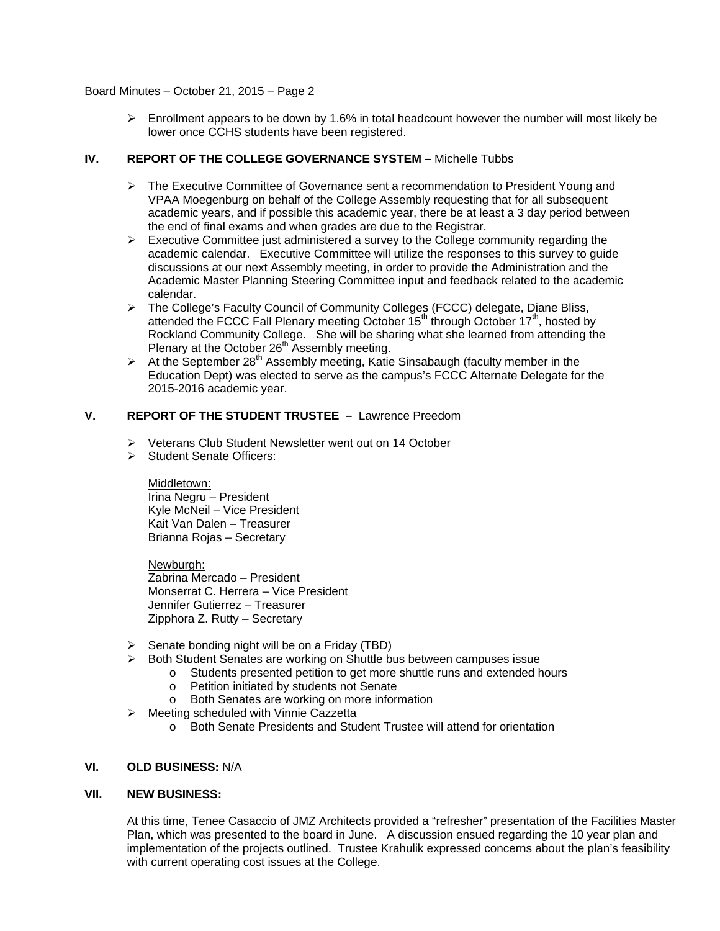### Board Minutes – October 21, 2015 – Page 2

 $\triangleright$  Enrollment appears to be down by 1.6% in total headcount however the number will most likely be lower once CCHS students have been registered.

## **IV. REPORT OF THE COLLEGE GOVERNANCE SYSTEM –** Michelle Tubbs

- ¾ The Executive Committee of Governance sent a recommendation to President Young and VPAA Moegenburg on behalf of the College Assembly requesting that for all subsequent academic years, and if possible this academic year, there be at least a 3 day period between the end of final exams and when grades are due to the Registrar.
- $\triangleright$  Executive Committee just administered a survey to the College community regarding the academic calendar. Executive Committee will utilize the responses to this survey to guide discussions at our next Assembly meeting, in order to provide the Administration and the Academic Master Planning Steering Committee input and feedback related to the academic calendar.
- ¾ The College's Faculty Council of Community Colleges (FCCC) delegate, Diane Bliss, attended the FCCC Fall Plenary meeting October 15<sup>th</sup> through October 17<sup>th</sup>, hosted by Rockland Community College. She will be sharing what she learned from attending the Plenary at the October 26<sup>th</sup> Assembly meeting.
- $\triangleright$  At the September 28<sup>th</sup> Assembly meeting, Katie Sinsabaugh (faculty member in the Education Dept) was elected to serve as the campus's FCCC Alternate Delegate for the 2015-2016 academic year.

# **V. REPORT OF THE STUDENT TRUSTEE –** Lawrence Preedom

- ¾ Veterans Club Student Newsletter went out on 14 October
- ¾ Student Senate Officers:

# Middletown:

Irina Negru – President Kyle McNeil – Vice President Kait Van Dalen – Treasurer Brianna Rojas – Secretary

Newburgh: Zabrina Mercado – President Monserrat C. Herrera – Vice President Jennifer Gutierrez – Treasurer Zipphora Z. Rutty – Secretary

- $\triangleright$  Senate bonding night will be on a Friday (TBD)
- ¾ Both Student Senates are working on Shuttle bus between campuses issue
	- o Students presented petition to get more shuttle runs and extended hours
		- o Petition initiated by students not Senate
	- o Both Senates are working on more information
- $\triangleright$  Meeting scheduled with Vinnie Cazzetta
	- o Both Senate Presidents and Student Trustee will attend for orientation

### **VI. OLD BUSINESS:** N/A

### **VII. NEW BUSINESS:**

At this time, Tenee Casaccio of JMZ Architects provided a "refresher" presentation of the Facilities Master Plan, which was presented to the board in June. A discussion ensued regarding the 10 year plan and implementation of the projects outlined. Trustee Krahulik expressed concerns about the plan's feasibility with current operating cost issues at the College.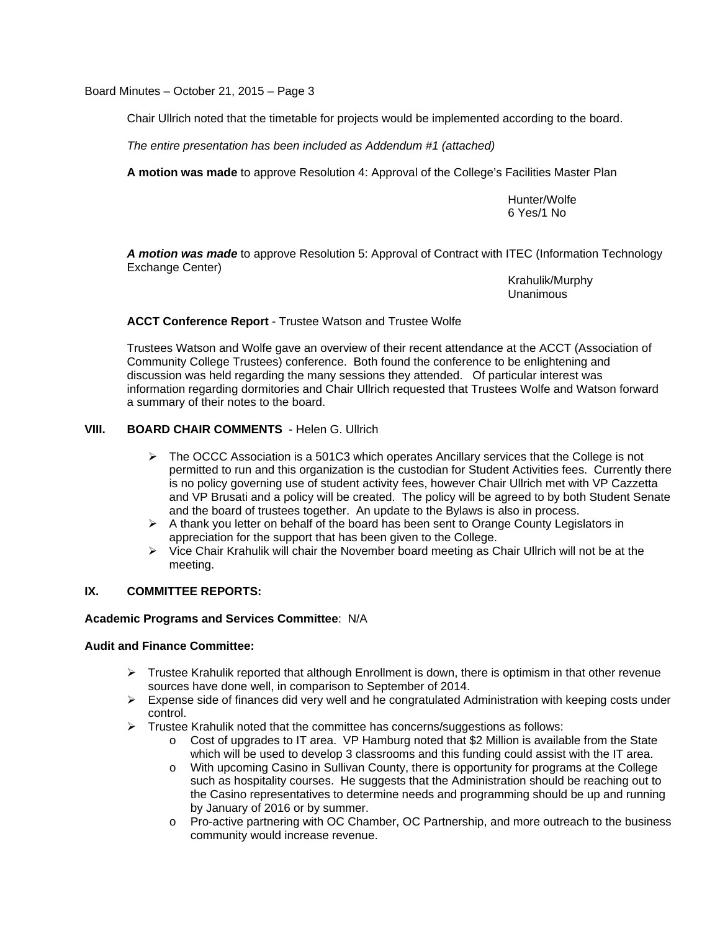Board Minutes – October 21, 2015 – Page 3

Chair Ullrich noted that the timetable for projects would be implemented according to the board.

*The entire presentation has been included as Addendum #1 (attached)*

**A motion was made** to approve Resolution 4: Approval of the College's Facilities Master Plan

 Hunter/Wolfe 6 Yes/1 No

*A motion was made* to approve Resolution 5: Approval of Contract with ITEC (Information Technology Exchange Center)

Krahulik/Murphy<br>Unanimous Unanimous

**ACCT Conference Report** - Trustee Watson and Trustee Wolfe

Trustees Watson and Wolfe gave an overview of their recent attendance at the ACCT (Association of Community College Trustees) conference. Both found the conference to be enlightening and discussion was held regarding the many sessions they attended. Of particular interest was information regarding dormitories and Chair Ullrich requested that Trustees Wolfe and Watson forward a summary of their notes to the board.

# **VIII. BOARD CHAIR COMMENTS** - Helen G. Ullrich

- $\triangleright$  The OCCC Association is a 501C3 which operates Ancillary services that the College is not permitted to run and this organization is the custodian for Student Activities fees. Currently there is no policy governing use of student activity fees, however Chair Ullrich met with VP Cazzetta and VP Brusati and a policy will be created. The policy will be agreed to by both Student Senate and the board of trustees together. An update to the Bylaws is also in process.
- $\triangleright$  A thank you letter on behalf of the board has been sent to Orange County Legislators in appreciation for the support that has been given to the College.
- $\triangleright$  Vice Chair Krahulik will chair the November board meeting as Chair Ullrich will not be at the meeting.

# **IX. COMMITTEE REPORTS:**

## **Academic Programs and Services Committee**: N/A

### **Audit and Finance Committee:**

- $\triangleright$  Trustee Krahulik reported that although Enrollment is down, there is optimism in that other revenue sources have done well, in comparison to September of 2014.
- $\triangleright$  Expense side of finances did very well and he congratulated Administration with keeping costs under control.
- $\triangleright$  Trustee Krahulik noted that the committee has concerns/suggestions as follows:
	- o Cost of upgrades to IT area. VP Hamburg noted that \$2 Million is available from the State which will be used to develop 3 classrooms and this funding could assist with the IT area.
	- o With upcoming Casino in Sullivan County, there is opportunity for programs at the College such as hospitality courses. He suggests that the Administration should be reaching out to the Casino representatives to determine needs and programming should be up and running by January of 2016 or by summer.
	- o Pro-active partnering with OC Chamber, OC Partnership, and more outreach to the business community would increase revenue.